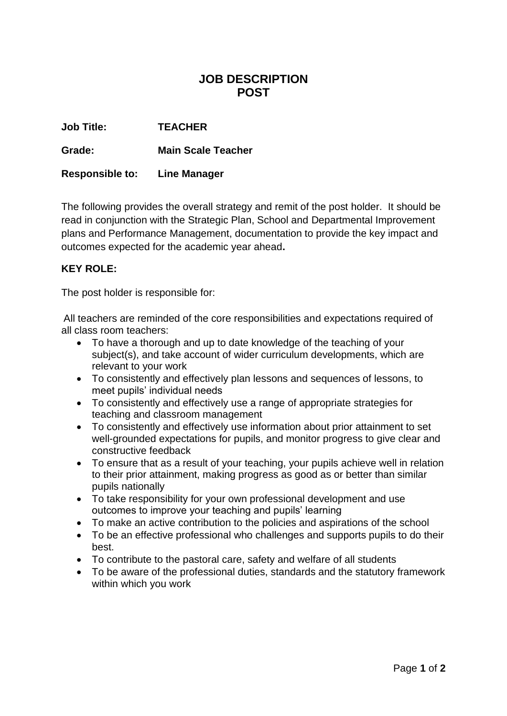## **JOB DESCRIPTION POST**

**Job Title: TEACHER**

**Grade: Main Scale Teacher**

**Responsible to: Line Manager**

The following provides the overall strategy and remit of the post holder. It should be read in conjunction with the Strategic Plan, School and Departmental Improvement plans and Performance Management, documentation to provide the key impact and outcomes expected for the academic year ahead**.**

## **KEY ROLE:**

The post holder is responsible for:

All teachers are reminded of the core responsibilities and expectations required of all class room teachers:

- To have a thorough and up to date knowledge of the teaching of your subject(s), and take account of wider curriculum developments, which are relevant to your work
- To consistently and effectively plan lessons and sequences of lessons, to meet pupils' individual needs
- To consistently and effectively use a range of appropriate strategies for teaching and classroom management
- To consistently and effectively use information about prior attainment to set well-grounded expectations for pupils, and monitor progress to give clear and constructive feedback
- To ensure that as a result of your teaching, your pupils achieve well in relation to their prior attainment, making progress as good as or better than similar pupils nationally
- To take responsibility for your own professional development and use outcomes to improve your teaching and pupils' learning
- To make an active contribution to the policies and aspirations of the school
- To be an effective professional who challenges and supports pupils to do their best.
- To contribute to the pastoral care, safety and welfare of all students
- To be aware of the professional duties, standards and the statutory framework within which you work